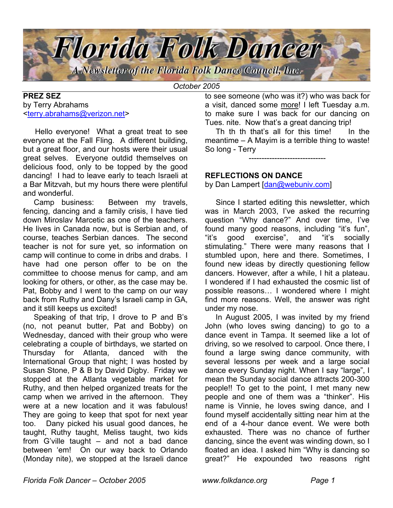

*October 2005*

# **PREZ SEZ** by Terry Abrahams <terry.abrahams@verizon.net>

 Hello everyone! What a great treat to see everyone at the Fall Fling. A different building, but a great floor, and our hosts were their usual great selves. Everyone outdid themselves on delicious food, only to be topped by the good dancing! I had to leave early to teach Israeli at a Bar Mitzvah, but my hours there were plentiful and wonderful.

 Camp business: Between my travels, fencing, dancing and a family crisis, I have tied down Miroslav Marcetic as one of the teachers. He lives in Canada now, but is Serbian and, of course, teaches Serbian dances. The second teacher is not for sure yet, so information on camp will continue to come in dribs and drabs. I have had one person offer to be on the committee to choose menus for camp, and am looking for others, or other, as the case may be. Pat, Bobby and I went to the camp on our way back from Ruthy and Dany's Israeli camp in GA, and it still keeps us excited!

Speaking of that trip, I drove to P and B's (no, not peanut butter, Pat and Bobby) on Wednesday, danced with their group who were celebrating a couple of birthdays, we started on Thursday for Atlanta, danced with the International Group that night; I was hosted by Susan Stone, P & B by David Digby. Friday we stopped at the Atlanta vegetable market for Ruthy, and then helped organized treats for the camp when we arrived in the afternoon. They were at a new location and it was fabulous! They are going to keep that spot for next year too. Dany picked his usual good dances, he taught, Ruthy taught, Meliss taught, two kids from G'ville taught – and not a bad dance between 'em! On our way back to Orlando (Monday nite), we stopped at the Israeli dance to see someone (who was it?) who was back for a visit, danced some more! I left Tuesday a.m. to make sure I was back for our dancing on Tues. nite. Now that's a great dancing trip!

 Th th th that's all for this time! In the meantime – A Mayim is a terrible thing to waste! So long - Terry

------------------------------

## **REFLECTIONS ON DANCE**

by Dan Lampert [dan@webuniv.com]

Since I started editing this newsletter, which was in March 2003, I've asked the recurring question "Why dance?" And over time, I've found many good reasons, including "it's fun", "it's good exercise", and "it's socially stimulating." There were many reasons that I stumbled upon, here and there. Sometimes, I found new ideas by directly questioning fellow dancers. However, after a while, I hit a plateau. I wondered if I had exhausted the cosmic list of possible reasons… I wondered where I might find more reasons. Well, the answer was right under my nose.

In August 2005, I was invited by my friend John (who loves swing dancing) to go to a dance event in Tampa. It seemed like a lot of driving, so we resolved to carpool. Once there, I found a large swing dance community, with several lessons per week and a large social dance every Sunday night. When I say "large", I mean the Sunday social dance attracts 200-300 people!! To get to the point, I met many new people and one of them was a "thinker". His name is Vinnie, he loves swing dance, and I found myself accidentally sitting near him at the end of a 4-hour dance event. We were both exhausted. There was no chance of further dancing, since the event was winding down, so I floated an idea. I asked him "Why is dancing so great?" He expounded two reasons right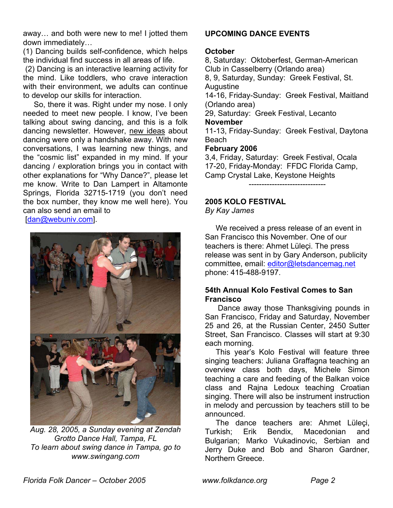away… and both were new to me! I jotted them down immediately…

(1) Dancing builds self-confidence, which helps the individual find success in all areas of life.

(2) Dancing is an interactive learning activity for the mind. Like toddlers, who crave interaction with their environment, we adults can continue to develop our skills for interaction.

 So, there it was. Right under my nose. I only needed to meet new people. I know, I've been talking about swing dancing, and this is a folk dancing newsletter. However, new ideas about dancing were only a handshake away. With new conversations, I was learning new things, and the "cosmic list" expanded in my mind. If your dancing / exploration brings you in contact with other explanations for "Why Dance?", please let me know. Write to Dan Lampert in Altamonte Springs, Florida 32715-1719 (you don't need the box number, they know me well here). You can also send an email to

[dan@webuniv.com].



*Aug. 28, 2005, a Sunday evening at Zendah Grotto Dance Hall, Tampa, FL To learn about swing dance in Tampa, go to www.swingang.com*

# **UPCOMING DANCE EVENTS**

#### **October**

8, Saturday: Oktoberfest, German-American Club in Casselberry (Orlando area) 8, 9, Saturday, Sunday: Greek Festival, St. Augustine 14-16, Friday-Sunday: Greek Festival, Maitland (Orlando area) 29, Saturday: Greek Festival, Lecanto **November** 11-13, Friday-Sunday: Greek Festival, Daytona Beach **February 2006**  3,4, Friday, Saturday: Greek Festival, Ocala 17-20, Friday-Monday: FFDC Florida Camp,

Camp Crystal Lake, Keystone Heights ------------------------------

# **2005 KOLO FESTIVAL**

*By Kay James*

 We received a press release of an event in San Francisco this November. One of our teachers is there: Ahmet Lüleçi. The press release was sent in by Gary Anderson, publicity committee, email: editor@letsdancemag.net phone: 415-488-9197.

# **54th Annual Kolo Festival Comes to San Francisco**

 Dance away those Thanksgiving pounds in San Francisco, Friday and Saturday, November 25 and 26, at the Russian Center, 2450 Sutter Street, San Francisco. Classes will start at 9:30 each morning.

 This year's Kolo Festival will feature three singing teachers: Juliana Graffagna teaching an overview class both days, Michele Simon teaching a care and feeding of the Balkan voice class and Rajna Ledoux teaching Croatian singing. There will also be instrument instruction in melody and percussion by teachers still to be announced.

 The dance teachers are: Ahmet Lüleçi, Turkish; Erik Bendix, Macedonian and Bulgarian; Marko Vukadinovic, Serbian and Jerry Duke and Bob and Sharon Gardner, Northern Greece.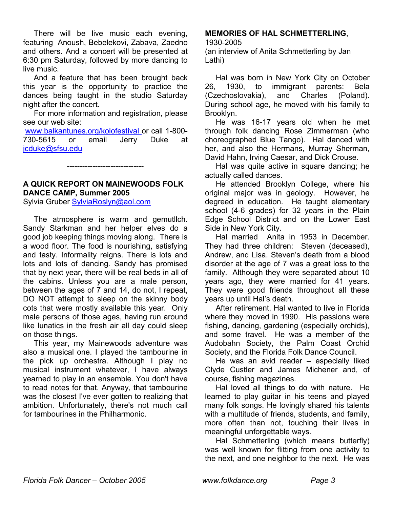There will be live music each evening, featuring Anoush, Bebelekovi, Zabava, Zaedno and others. And a concert will be presented at 6:30 pm Saturday, followed by more dancing to live music.

And a feature that has been brought back this year is the opportunity to practice the dances being taught in the studio Saturday night after the concert.

 For more information and registration, please see our web site:

www.balkantunes.org/kolofestival or call 1-800- 730-5615 or email Jerry Duke at [jcduke@sfsu.edu](mailto:jcduke@sfsu.edu)

# **A QUICK REPORT ON MAINEWOODS FOLK DANCE CAMP, Summer 2005**

------------------------------

Sylvia Gruber SylviaRoslyn@aol.com

The atmosphere is warm and gemutllch. Sandy Starkman and her helper elves do a good job keeping things moving along. There is a wood floor. The food is nourishing, satisfying and tasty. Informality reigns. There is lots and lots and lots of dancing. Sandy has promised that by next year, there will be real beds in all of the cabins. Unless you are a male person, between the ages of 7 and 14, do not, I repeat, DO NOT attempt to sleep on the skinny body cots that were mostly available this year. Only male persons of those ages, having run around like lunatics in the fresh air all day could sleep on those things.

 This year, my Mainewoods adventure was also a musical one. I played the tambourine in the pick up orchestra. Although I play no musical instrument whatever, I have always yearned to play in an ensemble. You don't have to read notes for that. Anyway, that tambourine was the closest I've ever gotten to realizing that ambition. Unfortunately, there's not much call for tambourines in the Philharmonic.

# **MEMORIES OF HAL SCHMETTERLING**,

1930-2005

(an interview of Anita Schmetterling by Jan Lathi)

Hal was born in New York City on October 26, 1930, to immigrant parents: Bela (Czechoslovakia), and Charles (Poland). During school age, he moved with his family to Brooklyn.

He was 16-17 years old when he met through folk dancing Rose Zimmerman (who choreographed Blue Tango). Hal danced with her, and also the Hermans, Murray Sherman, David Hahn, Irving Caesar, and Dick Crouse.

Hal was quite active in square dancing; he actually called dances.

 He attended Brooklyn College, where his original major was in geology. However, he degreed in education. He taught elementary school (4-6 grades) for 32 years in the Plain Edge School District and on the Lower East Side in New York City.

Hal married Anita in 1953 in December. They had three children: Steven (deceased), Andrew, and Lisa. Steven's death from a blood disorder at the age of 7 was a great loss to the family. Although they were separated about 10 years ago, they were married for 41 years. They were good friends throughout all these years up until Hal's death.

After retirement, Hal wanted to live in Florida where they moved in 1990. His passions were fishing, dancing, gardening (especially orchids), and some travel. He was a member of the Audobahn Society, the Palm Coast Orchid Society, and the Florida Folk Dance Council.

He was an avid reader – especially liked Clyde Custler and James Michener and, of course, fishing magazines.

Hal loved all things to do with nature. He learned to play guitar in his teens and played many folk songs. He lovingly shared his talents with a multitude of friends, students, and family, more often than not, touching their lives in meaningful unforgettable ways.

 Hal Schmetterling (which means butterfly) was well known for flitting from one activity to the next, and one neighbor to the next. He was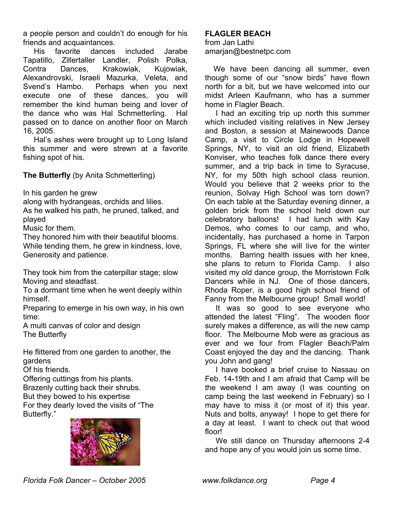a people person and couldn't do enough for his friends and acquaintances.

 His favorite dances included Jarabe Tapatillo, Zillertaller Landler, Polish Polka, Contra Dances, Krakowiak, Kujowiak, Alexandrovski, Israeli Mazurka, Veleta, and Svend's Hambo. Perhaps when you next execute one of these dances, you will remember the kind human being and lover of the dance who was Hal Schmetterling. Hal passed on to dance on another floor on March 16, 2005.

Hal's ashes were brought up to Long Island this summer and were strewn at a favorite fishing spot of his.

**The Butterfly** (by Anita Schmetterling)

In his garden he grew

along with hydrangeas, orchids and lilies.

As he walked his path, he pruned, talked, and played

Music for them.

They honored him with their beautiful blooms. While tending them, he grew in kindness, love, Generosity and patience.

They took him from the caterpillar stage; slow Moving and steadfast.

To a dormant time when he went deeply within himself.

Preparing to emerge in his own way, in his own time:

A multi canvas of color and design The Butterfly

He flittered from one garden to another, the gardens

Of his friends.

Offering cuttings from his plants. Brazenly cutting back their shrubs. But they bowed to his expertise For they dearly loved the visits of "The Butterfly."



# **FLAGLER BEACH**

from Jan Lathi amarjan@bestnetpc.com

We have been dancing all summer, even though some of our "snow birds" have flown north for a bit, but we have welcomed into our midst Arleen Kaufmann, who has a summer home in Flagler Beach.

I had an exciting trip up north this summer which included visiting relatives in New Jersey and Boston, a session at Mainewoods Dance Camp, a visit to Circle Lodge in Hopewell Springs, NY, to visit an old friend, Elizabeth Konviser, who teaches folk dance there every summer, and a trip back in time to Syracuse, NY, for my 50th high school class reunion. Would you believe that 2 weeks prior to the reunion, Solvay High School was torn down? On each table at the Saturday evening dinner, a golden brick from the school held down our celebratory balloons! I had lunch with Kay Demos, who comes to our camp, and who, incidentally, has purchased a home in Tarpon Springs, FL where she will live for the winter months. Barring health issues with her knee, she plans to return to Florida Camp. I also visited my old dance group, the Morristown Folk Dancers while in NJ. One of those dancers, Rhoda Roper, is a good high school friend of Fanny from the Melbourne group! Small world!

It was so good to see everyone who attended the latest "Fling". The wooden floor surely makes a difference, as will the new camp floor. The Melbourne Mob were as gracious as ever and we four from Flagler Beach/Palm Coast enjoyed the day and the dancing. Thank you John and gang!

I have booked a brief cruise to Nassau on Feb. 14-19th and I am afraid that Camp will be the weekend I am away (I was counting on camp being the last weekend in February) so I may have to miss it (or most of it) this year. Nuts and bolts, anyway! I hope to get there for a day at least. I want to check out that wood floor!

We still dance on Thursday afternoons 2-4 and hope any of you would join us some time.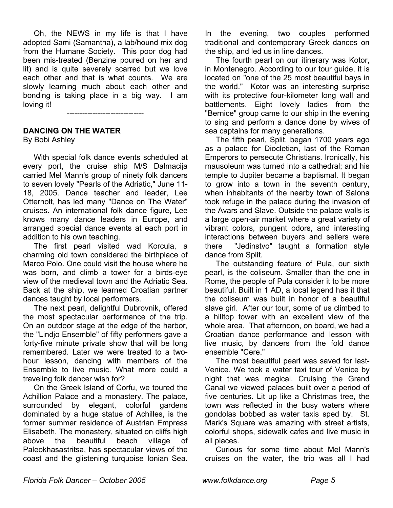Oh, the NEWS in my life is that I have adopted Sami (Samantha), a lab/hound mix dog from the Humane Society. This poor dog had been mis-treated (Benzine poured on her and lit) and is quite severely scarred but we love each other and that is what counts. We are slowly learning much about each other and bonding is taking place in a big way. I am loving it!

------------------------------

#### **DANCING ON THE WATER**

By Bobi Ashley

With special folk dance events scheduled at every port, the cruise ship M/S Dalmacija carried Mel Mann's group of ninety folk dancers to seven lovely "Pearls of the Adriatic," June 11- 18, 2005. Dance teacher and leader, Lee Otterholt, has led many "Dance on The Water" cruises. An international folk dance figure, Lee knows many dance leaders in Europe, and arranged special dance events at each port in addition to his own teaching.

 The first pearl visited wad Korcula, a charming old town considered the birthplace of Marco Polo. One could visit the house where he was born, and climb a tower for a birds-eye view of the medieval town and the Adriatic Sea. Back at the ship, we learned Croatian partner dances taught by local performers.

 The next pearl, delightful Dubrovnik, offered the most spectacular performance of the trip. On an outdoor stage at the edge of the harbor, the "Lindjo Ensemble" of fifty performers gave a forty-five minute private show that will be long remembered. Later we were treated to a twohour lesson, dancing with members of the Ensemble to live music. What more could a traveling folk dancer wish for?

 On the Greek Island of Corfu, we toured the Achillion Palace and a monastery. The palace, surrounded by elegant, colorful gardens dominated by a huge statue of Achilles, is the former summer residence of Austrian Empress Elisabeth. The monastery, situated on cliffs high above the beautiful beach village of Paleokhasastritsa, has spectacular views of the coast and the glistening turquoise Ionian Sea.

In the evening, two couples performed traditional and contemporary Greek dances on the ship, and led us in line dances.

 The fourth pearl on our itinerary was Kotor, in Montenegro. According to our tour guide, it is located on "one of the 25 most beautiful bays in the world." Kotor was an interesting surprise with its protective four-kilometer long wall and battlements. Eight lovely ladies from the "Bernice" group came to our ship in the evening to sing and perform a dance done by wives of sea captains for many generations.

 The fifth pearl, Split, began 1700 years ago as a palace for Diocletian, last of the Roman Emperors to persecute Christians. Ironically, his mausoleum was turned into a cathedral; and his temple to Jupiter became a baptismal. It began to grow into a town in the seventh century, when inhabitants of the nearby town of Salona took refuge in the palace during the invasion of the Avars and Slave. Outside the palace walls is a large open-air market where a great variety of vibrant colors, pungent odors, and interesting interactions between buyers and sellers were there "Jedinstvo" taught a formation style dance from Split.

The outstanding feature of Pula, our sixth pearl, is the coliseum. Smaller than the one in Rome, the people of Pula consider it to be more beautiful. Built in 1 AD, a local legend has it that the coliseum was built in honor of a beautiful slave girl. After our tour, some of us climbed to a hilltop tower with an excellent view of the whole area. That afternoon, on board, we had a Croatian dance performance and lesson with live music, by dancers from the fold dance ensemble "Cere."

The most beautiful pearl was saved for last-Venice. We took a water taxi tour of Venice by night that was magical. Cruising the Grand Canal we viewed palaces built over a period of five centuries. Lit up like a Christmas tree, the town was reflected in the busy waters where gondolas bobbed as water taxis sped by. St. Mark's Square was amazing with street artists, colorful shops, sidewalk cafes and live music in all places.

Curious for some time about Mel Mann's cruises on the water, the trip was all I had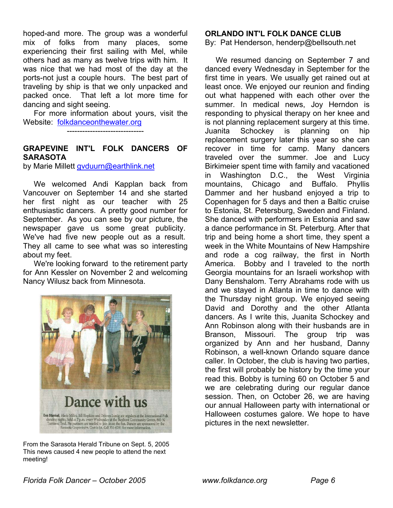hoped-and more. The group was a wonderful mix of folks from many places, some experiencing their first sailing with Mel, while others had as many as twelve trips with him. It was nice that we had most of the day at the ports-not just a couple hours. The best part of traveling by ship is that we only unpacked and packed once. That left a lot more time for dancing and sight seeing.

For more information about yours, visit the Website: folkdanceonthewater.org

------------------------------

# **GRAPEVINE INT'L FOLK DANCERS OF SARASOTA**

by Marie Millett gyduurn@earthlink.net

 We welcomed Andi Kapplan back from Vancouver on September 14 and she started her first night as our teacher with 25 enthusiastic dancers. A pretty good number for September. As you can see by our picture, the newspaper gave us some great publicity. We've had five new people out as a result. They all came to see what was so interesting about my feet.

 We're looking forward to the retirement party for Ann Kessler on November 2 and welcoming Nancy Wilusz back from Minnesota.



From the Sarasota Herald Tribune on Sept. 5, 2005 This news caused 4 new people to attend the next meeting!

### **ORLANDO INT'L FOLK DANCE CLUB**

By: Pat Henderson, henderp@bellsouth.net

 We resumed dancing on September 7 and danced every Wednesday in September for the first time in years. We usually get rained out at least once. We enjoyed our reunion and finding out what happened with each other over the summer. In medical news, Joy Herndon is responding to physical therapy on her knee and is not planning replacement surgery at this time. Juanita Schockey is planning on hip replacement surgery later this year so she can recover in time for camp. Many dancers traveled over the summer. Joe and Lucy Birkimeier spent time with family and vacationed in Washington D.C., the West Virginia mountains, Chicago and Buffalo. Phyllis Dammer and her husband enjoyed a trip to Copenhagen for 5 days and then a Baltic cruise to Estonia, St. Petersburg, Sweden and Finland. She danced with performers in Estonia and saw a dance performance in St. Peterburg. After that trip and being home a short time, they spent a week in the White Mountains of New Hampshire and rode a cog railway, the first in North America. Bobby and I traveled to the north Georgia mountains for an Israeli workshop with Dany Benshalom. Terry Abrahams rode with us and we stayed in Atlanta in time to dance with the Thursday night group. We enjoyed seeing David and Dorothy and the other Atlanta dancers. As I write this, Juanita Schockey and Ann Robinson along with their husbands are in Branson, Missouri. The group trip was organized by Ann and her husband, Danny Robinson, a well-known Orlando square dance caller. In October, the club is having two parties, the first will probably be history by the time your read this. Bobby is turning 60 on October 5 and we are celebrating during our regular dance session. Then, on October 26, we are having our annual Halloween party with international or Halloween costumes galore. We hope to have pictures in the next newsletter.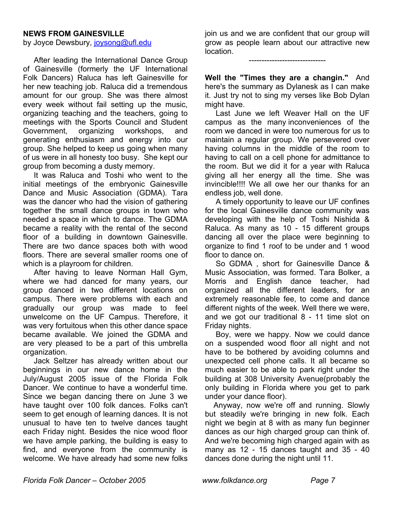#### **NEWS FROM GAINESVILLE**

by Joyce Dewsbury, joysong@ufl.edu

 After leading the International Dance Group of Gainesville (formerly the UF International Folk Dancers) Raluca has left Gainesville for her new teaching job. Raluca did a tremendous amount for our group. She was there almost every week without fail setting up the music, organizing teaching and the teachers, going to meetings with the Sports Council and Student Government, organizing workshops, and generating enthusiasm and energy into our group. She helped to keep us going when many of us were in all honesty too busy. She kept our group from becoming a dusty memory.

It was Raluca and Toshi who went to the initial meetings of the embryonic Gainesville Dance and Music Association (GDMA). Tara was the dancer who had the vision of gathering together the small dance groups in town who needed a space in which to dance. The GDMA became a reality with the rental of the second floor of a building in downtown Gainesville. There are two dance spaces both with wood floors. There are several smaller rooms one of which is a playroom for children.

 After having to leave Norman Hall Gym, where we had danced for many years, our group danced in two different locations on campus. There were problems with each and gradually our group was made to feel unwelcome on the UF Campus. Therefore, it was very fortuitous when this other dance space became available. We joined the GDMA and are very pleased to be a part of this umbrella organization.

 Jack Seltzer has already written about our beginnings in our new dance home in the July/August 2005 issue of the Florida Folk Dancer. We continue to have a wonderful time. Since we began dancing there on June 3 we have taught over 100 folk dances. Folks can't seem to get enough of learning dances. It is not unusual to have ten to twelve dances taught each Friday night. Besides the nice wood floor we have ample parking, the building is easy to find, and everyone from the community is welcome. We have already had some new folks join us and we are confident that our group will grow as people learn about our attractive new location.

------------------------------

**Well the "Times they are a changin."** And here's the summary as Dylanesk as I can make it. Just try not to sing my verses like Bob Dylan might have.

Last June we left Weaver Hall on the UF campus as the many inconveniences of the room we danced in were too numerous for us to maintain a regular group. We persevered over having columns in the middle of the room to having to call on a cell phone for admittance to the room. But we did it for a year with Raluca giving all her energy all the time. She was invincible!!!! We all owe her our thanks for an endless job, well done.

A timely opportunity to leave our UF confines for the local Gainesville dance community was developing with the help of Toshi Nishida & Raluca. As many as 10 - 15 different groups dancing all over the place were beginning to organize to find 1 roof to be under and 1 wood floor to dance on.

So GDMA , short for Gainesville Dance & Music Association, was formed. Tara Bolker, a Morris and English dance teacher, had organized all the different leaders, for an extremely reasonable fee, to come and dance different nights of the week. Well there we were, and we got our traditional 8 - 11 time slot on Friday nights.

Boy, were we happy. Now we could dance on a suspended wood floor all night and not have to be bothered by avoiding columns and unexpected cell phone calls. It all became so much easier to be able to park right under the building at 308 University Avenue(probably the only building in Florida where you get to park under your dance floor).

Anyway, now we're off and running. Slowly but steadily we're bringing in new folk. Each night we begin at 8 with as many fun beginner dances as our high charged group can think of. And we're becoming high charged again with as many as 12 - 15 dances taught and 35 - 40 dances done during the night until 11.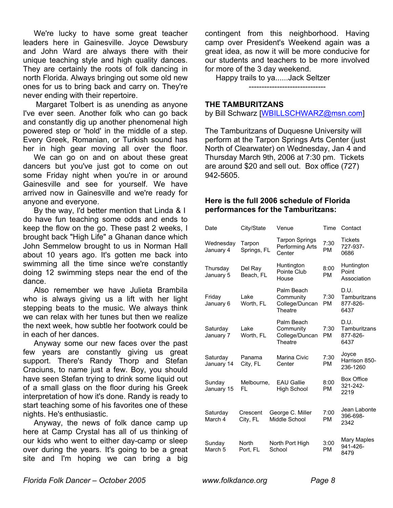We're lucky to have some great teacher leaders here in Gainesville. Joyce Dewsbury and John Ward are always there with their unique teaching style and high quality dances. They are certainly the roots of folk dancing in north Florida. Always bringing out some old new ones for us to bring back and carry on. They're never ending with their repertoire.

Margaret Tolbert is as unending as anyone I've ever seen. Another folk who can go back and constantly dig up another phenomenal high powered step or 'hold' in the middle of a step. Every Greek, Romanian, or Turkish sound has her in high gear moving all over the floor.

We can go on and on about these great dancers but you've just got to come on out some Friday night when you're in or around Gainesville and see for yourself. We have arrived now in Gainesville and we're ready for anyone and everyone.

 By the way, I'd better mention that Linda & I do have fun teaching some odds and ends to keep the flow on the go. These past 2 weeks, I brought back "High Life" a Ghanan dance which John Semmelow brought to us in Norman Hall about 10 years ago. It's gotten me back into swimming all the time since we're constantly doing 12 swimming steps near the end of the dance.

Also remember we have Julieta Brambila who is always giving us a lift with her light stepping beats to the music. We always think we can relax with her tunes but then we realize the next week, how subtle her footwork could be in each of her dances.

Anyway some our new faces over the past few years are constantly giving us great support. There's Randy Thorp and Stefan Craciuns, to name just a few. Boy, you should have seen Stefan trying to drink some liquid out of a small glass on the floor during his Greek interpretation of how it's done. Randy is ready to start teaching some of his favorites one of these nights. He's enthusiastic.

Anyway, the news of folk dance camp up here at Camp Crystal has all of us thinking of our kids who went to either day-camp or sleep over during the years. It's going to be a great site and I'm hoping we can bring a big

contingent from this neighborhood. Having camp over President's Weekend again was a great idea, as now it will be more conducive for our students and teachers to be more involved for more of the 3 day weekend.

Happy trails to ya......Jack Seltzer

------------------------------

#### **THE TAMBURITZANS**

by Bill Schwarz [WBILLSCHWARZ@msn.com]

The Tamburitzans of Duquesne University will perform at the Tarpon Springs Arts Center (just North of Clearwater) on Wednesday, Jan 4 and Thursday March 9th, 2006 at 7:30 pm. Tickets are around \$20 and sell out. Box office (727) 942-5605.

## **Here is the full 2006 schedule of Florida performances for the Tamburitzans:**

| Date                         | City/State            | Venue                                                | Time              | Contact                                  |
|------------------------------|-----------------------|------------------------------------------------------|-------------------|------------------------------------------|
| Wednesday<br>January 4       | Tarpon<br>Springs, FL | Tarpon Springs<br>Performing Arts<br>Center          | 7:30<br><b>PM</b> | <b>Tickets</b><br>727-937-<br>0686       |
| Thursday<br>January 5        | Del Ray<br>Beach, FL  | Huntington<br>Pointe Club<br>House                   | 8:00<br><b>PM</b> | Huntington<br>Point<br>Association       |
| Friday<br>January 6          | Lake<br>Worth, FL     | Palm Beach<br>Community<br>College/Duncan<br>Theatre | 7:30<br><b>PM</b> | D.U.<br>Tamburitzans<br>877-826-<br>6437 |
| Saturday<br>January 7        | Lake<br>Worth, FL     | Palm Beach<br>Community<br>College/Duncan<br>Theatre | 7:30<br><b>PM</b> | D.U.<br>Tamburitzans<br>877-826-<br>6437 |
| Saturday<br>January 14       | Panama<br>City, FL    | Marina Civic<br>Center                               | 7:30<br><b>PM</b> | Joyce<br>Harrison 850-<br>236-1260       |
| Sunday<br>January 15         | Melbourne,<br>FL      | <b>EAU Gallie</b><br><b>High School</b>              | 8:00<br><b>PM</b> | <b>Box Office</b><br>321-242-<br>2219    |
| Saturday<br>March 4          | Crescent<br>City, FL  | George C. Miller<br>Middle School                    | 7:00<br><b>PM</b> | Jean Labonte<br>396-698-<br>2342         |
| Sunday<br>March <sub>5</sub> | North<br>Port, FL     | North Port High<br>School                            | 3:00<br><b>PM</b> | Mary Maples<br>941-426-<br>8479          |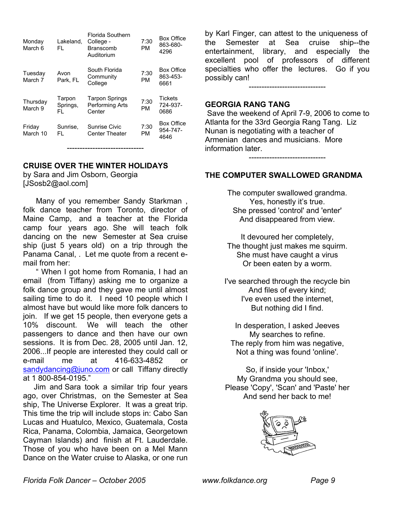| Monday<br>March 6   | Lakeland,<br>FL.          | Florida Southern<br>College -<br>Branscomb<br>Auditorium | 7:30<br><b>PM</b> | Box Office<br>863-680-<br>4296        |
|---------------------|---------------------------|----------------------------------------------------------|-------------------|---------------------------------------|
| Tuesday<br>March 7  | Avon<br>Park, FL          | South Florida<br>Community<br>College                    | 7:30<br><b>PM</b> | <b>Box Office</b><br>863-453-<br>6661 |
| Thursday<br>March 9 | Tarpon<br>Springs,<br>FI. | <b>Tarpon Springs</b><br>Performing Arts<br>Center       | 7:30<br><b>PM</b> | <b>Tickets</b><br>724-937-<br>0686    |
| Friday<br>March 10  | Sunrise,<br>FL.           | Sunrise Civic<br><b>Center Theater</b>                   | 7:30<br>PM        | <b>Box Office</b><br>954-747-<br>4646 |

------------------------------

**CRUISE OVER THE WINTER HOLIDAYS** 

by Sara and Jim Osborn, Georgia [JSosb2@aol.com]

Many of you remember Sandy Starkman, folk dance teacher from Toronto, director of Maine Camp, and a teacher at the Florida camp four years ago. She will teach folk dancing on the new Semester at Sea cruise ship (just 5 years old) on a trip through the Panama Canal, . Let me quote from a recent email from her:

" When I got home from Romania, I had an email (from Tiffany) asking me to organize a folk dance group and they gave me until almost sailing time to do it. I need 10 people which I almost have but would like more folk dancers to join. If we get 15 people, then everyone gets a 10% discount. We will teach the other passengers to dance and then have our own sessions. It is from Dec. 28, 2005 until Jan. 12, 2006...If people are interested they could call or e-mail me at 416-633-4852 or [sandydancing@juno.com](mailto:sandydancing@juno.com) or call Tiffany directly at 1 800-854-0195."

Jim and Sara took a similar trip four years ago, over Christmas, on the Semester at Sea ship, The Universe Explorer. It was a great trip. This time the trip will include stops in: Cabo San Lucas and Huatulco, Mexico, Guatemala, Costa Rica, Panama, Colombia, Jamaica, Georgetown Cayman Islands) and finish at Ft. Lauderdale. Those of you who have been on a Mel Mann Dance on the Water cruise to Alaska, or one run

by Karl Finger, can attest to the uniqueness of the Semester at Sea cruise ship--the entertainment, library, and especially the excellent pool of professors of different specialties who offer the lectures. Go if you possibly can!

------------------------------

#### **GEORGIA RANG TANG**

 Save the weekend of April 7-9, 2006 to come to Atlanta for the 33rd Georgia Rang Tang. Liz Nunan is negotiating with a teacher of Armenian dances and musicians. More information later.

------------------------------

## **THE COMPUTER SWALLOWED GRANDMA**

The computer swallowed grandma. Yes, honestly it's true. She pressed 'control' and 'enter' And disappeared from view.

It devoured her completely, The thought just makes me squirm. She must have caught a virus Or been eaten by a worm.

I've searched through the recycle bin And files of every kind; I've even used the internet, But nothing did I find.

In desperation, I asked Jeeves My searches to refine. The reply from him was negative, Not a thing was found 'online'.

So, if inside your 'Inbox,' My Grandma you should see, Please 'Copy', 'Scan' and 'Paste' her And send her back to me!

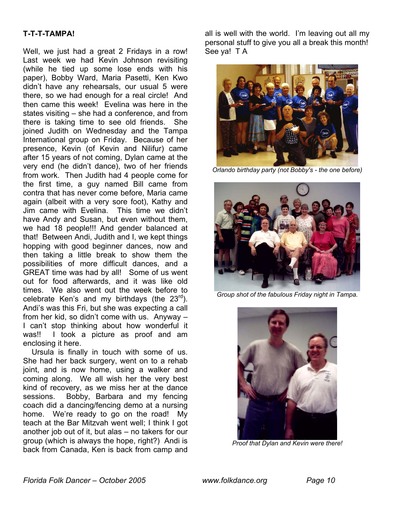### **T-T-T-TAMPA!**

Well, we just had a great 2 Fridays in a row! Last week we had Kevin Johnson revisiting (while he tied up some lose ends with his paper), Bobby Ward, Maria Pasetti, Ken Kwo didn't have any rehearsals, our usual 5 were there, so we had enough for a real circle! And then came this week! Evelina was here in the states visiting – she had a conference, and from there is taking time to see old friends. She joined Judith on Wednesday and the Tampa International group on Friday. Because of her presence, Kevin (of Kevin and Nilifur) came after 15 years of not coming, Dylan came at the very end (he didn't dance), two of her friends from work. Then Judith had 4 people come for the first time, a guy named Bill came from contra that has never come before, Maria came again (albeit with a very sore foot), Kathy and Jim came with Evelina. This time we didn't have Andy and Susan, but even without them, we had 18 people!!! And gender balanced at that! Between Andi, Judith and I, we kept things hopping with good beginner dances, now and then taking a little break to show them the possibilities of more difficult dances, and a GREAT time was had by all! Some of us went out for food afterwards, and it was like old times. We also went out the week before to celebrate Ken's and my birthdays (the  $23<sup>rd</sup>$ ). Andi's was this Fri, but she was expecting a call from her kid, so didn't come with us. Anyway – I can't stop thinking about how wonderful it was!! I took a picture as proof and am enclosing it here.

Ursula is finally in touch with some of us. She had her back surgery, went on to a rehab joint, and is now home, using a walker and coming along. We all wish her the very best kind of recovery, as we miss her at the dance sessions. Bobby, Barbara and my fencing coach did a dancing/fencing demo at a nursing home. We're ready to go on the road! My teach at the Bar Mitzvah went well; I think I got another job out of it, but alas – no takers for our group (which is always the hope, right?) Andi is back from Canada, Ken is back from camp and all is well with the world. I'm leaving out all my personal stuff to give you all a break this month! See ya! T A



*Orlando birthday party (not Bobby's - the one before)* 



*Group shot of the fabulous Friday night in Tampa.*



*Proof that Dylan and Kevin were there!*